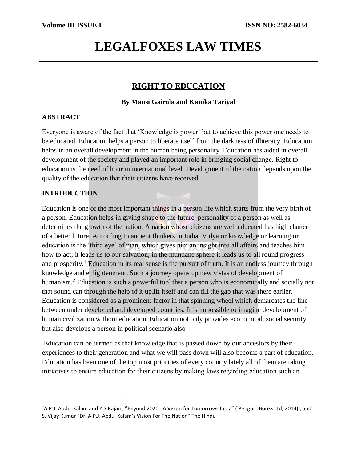# **LEGALFOXES LAW TIMES**

# **RIGHT TO EDUCATION**

# **By Mansi Gairola and Kanika Tariyal**

# **ABSTRACT**

Everyone is aware of the fact that 'Knowledge is power' but to achieve this power one needs to be educated. Education helps a person to liberate itself from the darkness of illiteracy. Education helps in an overall development in the human being personality. Education has aided in overall development of the society and played an important role in bringing social change. Right to education is the need of hour in international level. Development of the nation depends upon the quality of the education that their citizens have received.

# **INTRODUCTION**

Education is one of the most important things in a person life which starts from the very birth of a person. Education helps in giving shape to the future, personality of a person as well as determines the growth of the nation. A nation whose citizens are well educated has high chance of a better future. According to ancient thinkers in India, Vidya or knowledge or learning or education is the 'third eye' of man, which gives him an insight into all affairs and teaches him how to act; it leads us to our salvation; in the mundane sphere it leads us to all round progress and prosperity.<sup>1</sup> Education in its real sense is the pursuit of truth. It is an endless journey through knowledge and enlightenment. Such a journey opens up new vistas of development of humanism.<sup>2</sup> Education is such a powerful tool that a person who is economically and socially not that sound can through the help of it uplift itself and can fill the gap that was there earlier. Education is considered as a prominent factor in that spinning wheel which demarcates the line between under developed and developed countries. It is impossible to imagine development of human civilization without education. Education not only provides economical, social security but also develops a person in political scenario also

Education can be termed as that knowledge that is passed down by our ancestors by their experiences to their generation and what we will pass down will also become a part of education. Education has been one of the top most priorities of every country lately all of them are taking initiatives to ensure education for their citizens by making laws regarding education such an

 $\overline{a}$ 1

<sup>&</sup>lt;sup>2</sup>A.P.J. Abdul Kalam and Y.S.Rajan, "Beyond 2020: A Vision for Tomorrows India" (Penguin Books Ltd, 2014)., and S. Vijay Kumar "Dr. A.P.J. Abdul Kalam's Vision For The Nation" The Hindu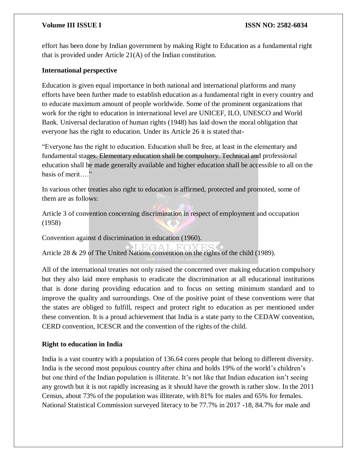effort has been done by Indian government by making Right to Education as a fundamental right that is provided under Article 21(A) of the Indian constitution.

# **International perspective**

Education is given equal importance in both national and international platforms and many efforts have been further made to establish education as a fundamental right in every country and to educate maximum amount of people worldwide. Some of the prominent organizations that work for the right to education in international level are UNICEF, ILO, UNESCO and World Bank. Universal declaration of human rights (1948) has laid down the moral obligation that everyone has the right to education. Under its Article 26 it is stated that-

"Everyone has the right to education. Education shall be free, at least in the elementary and fundamental stages. Elementary education shall be compulsory. Technical and professional education shall be made generally available and higher education shall be accessible to all on the basis of merit…."

In various other treaties also right to education is affirmed, protected and promoted, some of them are as follows:

Article 3 of convention concerning discrimination in respect of employment and occupation (1958)

Convention against d discrimination in education (1960).

Article 28 & 29 of The United Nations convention on the rights of the child (1989).

All of the international treaties not only raised the concerned over making education compulsory but they also laid more emphasis to eradicate the discrimination at all educational institutions that is done during providing education and to focus on setting minimum standard and to improve the quality and surroundings. One of the positive point of these conventions were that the states are obliged to fulfill, respect and protect right to education as per mentioned under these convention. It is a proud achievement that India is a state party to the CEDAW convention, CERD convention, ICESCR and the convention of the rights of the child.

# **Right to education in India**

India is a vast country with a population of 136.64 cores people that belong to different diversity. India is the second most populous country after china and holds 19% of the world's children's but one third of the Indian population is illiterate. It's not like that Indian education isn't seeing any growth but it is not rapidly increasing as it should have the growth is rather slow. In the 2011 Census, about 73% of the population was illiterate, with 81% for males and 65% for females. National Statistical Commission surveyed literacy to be 77.7% in 2017 -18, 84.7% for male and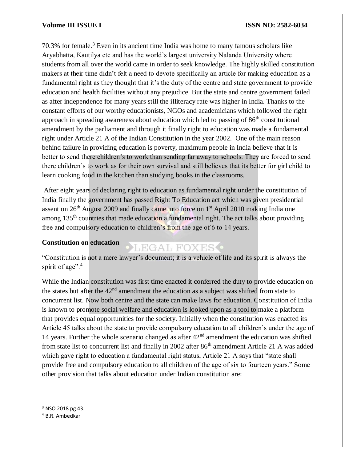70.3% for female.<sup>3</sup> Even in its ancient time India was home to many famous scholars like Aryabhatta, Kautilya etc and has the world's largest university Nalanda University where students from all over the world came in order to seek knowledge. The highly skilled constitution makers at their time didn't felt a need to devote specifically an article for making education as a fundamental right as they thought that it's the duty of the centre and state government to provide education and health facilities without any prejudice. But the state and centre government failed as after independence for many years still the illiteracy rate was higher in India. Thanks to the constant efforts of our worthy educationists, NGOs and academicians which followed the right approach in spreading awareness about education which led to passing of  $86<sup>th</sup>$  constitutional amendment by the parliament and through it finally right to education was made a fundamental right under Article 21 A of the Indian Constitution in the year 2002. One of the main reason behind failure in providing education is poverty, maximum people in India believe that it is better to send there children's to work than sending far away to schools. They are forced to send there children's to work as for their own survival and still believes that its better for girl child to learn cooking food in the kitchen than studying books in the classrooms.

After eight years of declaring right to education as fundamental right under the constitution of India finally the government has passed Right To Education act which was given presidential assent on 26<sup>th</sup> August 2009 and finally came into force on 1<sup>st</sup> April 2010 making India one among 135<sup>th</sup> countries that made education a fundamental right. The act talks about providing free and compulsory education to children's from the age of 6 to 14 years.

### **Constitution on education**

# LEGAL FOXES<sup>.</sup>

"Constitution is not a mere lawyer's document; it is a vehicle of life and its spirit is always the spirit of age".<sup>4</sup>

While the Indian constitution was first time enacted it conferred the duty to provide education on the states but after the  $42<sup>nd</sup>$  amendment the education as a subject was shifted from state to concurrent list. Now both centre and the state can make laws for education. Constitution of India is known to promote social welfare and education is looked upon as a tool to make a platform that provides equal opportunities for the society. Initially when the constitution was enacted its Article 45 talks about the state to provide compulsory education to all children's under the age of 14 years. Further the whole scenario changed as after  $42<sup>nd</sup>$  amendment the education was shifted from state list to concurrent list and finally in 2002 after 86<sup>th</sup> amendment Article 21 A was added which gave right to education a fundamental right status, Article 21 A says that "state shall provide free and compulsory education to all children of the age of six to fourteen years." Some other provision that talks about education under Indian constitution are:

 $\overline{\phantom{a}}$ 

<sup>3</sup> NSO 2018 pg 43.

<sup>4</sup> B.R. Ambedkar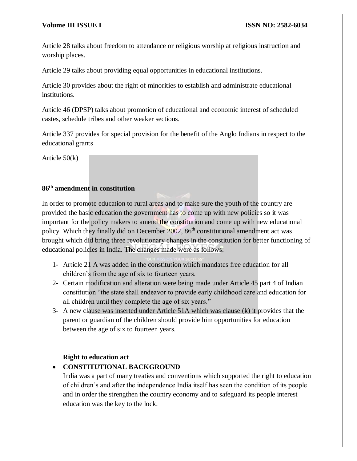Article 28 talks about freedom to attendance or religious worship at religious instruction and worship places.

Article 29 talks about providing equal opportunities in educational institutions.

Article 30 provides about the right of minorities to establish and administrate educational institutions.

Article 46 (DPSP) talks about promotion of educational and economic interest of scheduled castes, schedule tribes and other weaker sections.

Article 337 provides for special provision for the benefit of the Anglo Indians in respect to the educational grants

Article 50(k)

# **86th amendment in constitution**

In order to promote education to rural areas and to make sure the youth of the country are provided the basic education the government has to come up with new policies so it was important for the policy makers to amend the constitution and come up with new educational policy. Which they finally did on December  $2002$ ,  $86<sup>th</sup>$  constitutional amendment act was brought which did bring three revolutionary changes in the constitution for better functioning of educational policies in India. The changes made were as follows:

- 1- Article 21 A was added in the constitution which mandates free education for all children's from the age of six to fourteen years.
- 2- Certain modification and alteration were being made under Article 45 part 4 of Indian constitution "the state shall endeavor to provide early childhood care and education for all children until they complete the age of six years."
- 3- A new clause was inserted under Article 51A which was clause (k) it provides that the parent or guardian of the children should provide him opportunities for education between the age of six to fourteen years.

# **Right to education act**

# **CONSTITUTIONAL BACKGROUND**

India was a part of many treaties and conventions which supported the right to education of children's and after the independence India itself has seen the condition of its people and in order the strengthen the country economy and to safeguard its people interest education was the key to the lock.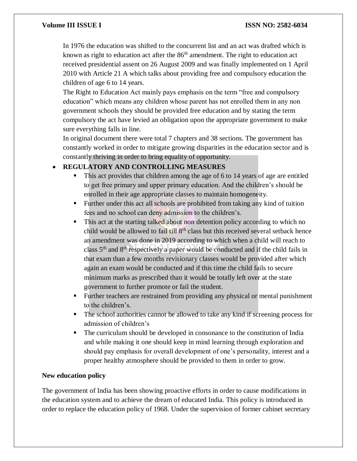In 1976 the education was shifted to the concurrent list and an act was drafted which is known as right to education act after the  $86<sup>th</sup>$  amendment. The right to education act received presidential assent on 26 August 2009 and was finally implemented on 1 April 2010 with Article 21 A which talks about providing free and compulsory education the children of age 6 to 14 years.

The Right to Education Act mainly pays emphasis on the term "free and compulsory education" which means any children whose parent has not enrolled them in any non government schools they should be provided free education and by stating the term compulsory the act have levied an obligation upon the appropriate government to make sure everything falls in line.

In original document there were total 7 chapters and 38 sections. The government has constantly worked in order to mitigate growing disparities in the education sector and is constantly thriving in order to bring equality of opportunity.

# **REGULATORY AND CONTROLLING MEASURES**

- This act provides that children among the age of 6 to 14 years of age are entitled to get free primary and upper primary education. And the children's should be enrolled in their age appropriate classes to maintain homogeneity.
- Further under this act all schools are prohibited from taking any kind of tuition fees and no school can deny admission to the children's.
- This act at the starting talked about non detention policy according to which no child would be allowed to fail  $\frac{1}{2}$  till  $8<sup>th</sup>$  class but this received several setback hence an amendment was done in 2019 according to which when a child will reach to class 5th and 8th respectively a paper would be conducted and if the child fails in that exam than a few months revisionary classes would be provided after which again an exam would be conducted and if this time the child fails to secure minimum marks as prescribed than it would be totally left over at the state government to further promote or fail the student.
- Further teachers are restrained from providing any physical or mental punishment to the children's.
- The school authorities cannot be allowed to take any kind if screening process for admission of children's
- The curriculum should be developed in consonance to the constitution of India and while making it one should keep in mind learning through exploration and should pay emphasis for overall development of one's personality, interest and a proper healthy atmosphere should be provided to them in order to grow.

# **New education policy**

The government of India has been showing proactive efforts in order to cause modifications in the education system and to achieve the dream of educated India. This policy is introduced in order to replace the education policy of 1968. Under the supervision of former cabinet secretary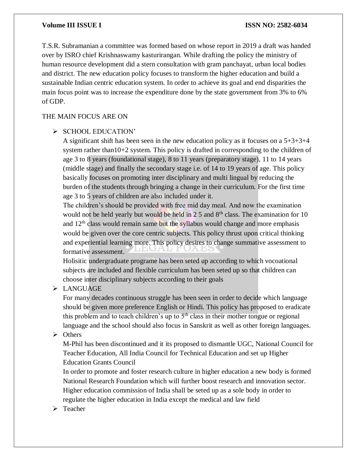T.S.R. Subramanian a committee was formed based on whose report in 2019 a draft was handed over by ISRO chief Krishnaswamy kasturirangan. While drafting the policy the ministry of human resource development did a stern consultation with gram panchayat, urban local bodies and district. The new education policy focuses to transform the higher education and build a sustainable Indian centric education system. In order to achieve its goal and end disparities the main focus point was to increase the expenditure done by the state government from 3% to 6% of GDP.

# THE MAIN FOCUS ARE ON

### $\triangleright$  SCHOOL EDUCATION'

A significant shift has been seen in the new education policy as it focuses on a 5+3+3+4 system rather than10+2 system. This policy is drafted in corresponding to the children of age 3 to 8 years (foundational stage), 8 to 11 years (preparatory stage), 11 to 14 years (middle stage) and finally the secondary stage i.e. of 14 to 19 years of age. This policy basically focuses on promoting inter disciplinary and multi lingual by reducing the burden of the students through bringing a change in their curriculum. For the first time age 3 to 5 years of children are also included under it.

The children's should be provided with free mid day meal. And now the examination would not be held yearly but would be held in  $2.5$  and  $8<sup>th</sup>$  class. The examination for 10 and 12<sup>th</sup> class would remain same but the syllabus would change and more emphasis would be given over the core centric subjects. This policy thrust upon critical thinking and experiential learning more. This policy desires to change summative assessment to formative assessment.

Holisitic undergraduate programe has been seted up according to which vocoational subjects are included and flexible curriculum has been seted up so that children can choose inter disciplinary subjects according to their goals

# > LANGUAGE

For many decades continuous struggle has been seen in order to decide which language should be given more preference English or Hindi. This policy has proposed to eradicate this problem and to teach children's up to  $5<sup>th</sup>$  class in their mother tongue or regional language and the school should also focus in Sanskrit as well as other foreign languages.

 $\triangleright$  Others

M-Phil has been discontinued and it its proposed to dismantle UGC, National Council for Teacher Education, All India Council for Technical Education and set up Higher Education Grants Council

In order to promote and foster research culture in higher education a new body is formed National Research Foundation which will further boost research and innovation sector. Higher education commission of India shall be seted up as a sole body in order to regulate the higher education in India except the medical and law field

 $\triangleright$  Teacher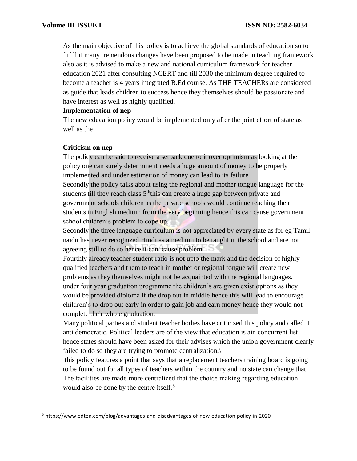As the main objective of this policy is to achieve the global standards of education so to fufill it many tremendous changes have been proposed to be made in teaching framework also as it is advised to make a new and national curriculum framework for teacher education 2021 after consulting NCERT and till 2030 the minimum degree required to become a teacher is 4 years integrated B.Ed course. As THE TEACHERs are considered as guide that leads children to success hence they themselves should be passionate and have interest as well as highly qualified.

#### **Implementation of nep**

The new education policy would be implemented only after the joint effort of state as well as the

#### **Criticism on nep**

 $\overline{a}$ 

The policy can be said to receive a setback due to it over optimism as looking at the policy one can surely determine it needs a huge amount of money to be properly implemented and under estimation of money can lead to its failure Secondly the policy talks about using the regional and mother tongue language for the students till they reach class  $5<sup>th</sup>$ this can create a huge gap between private and government schools children as the private schools would continue teaching their students in English medium from the very beginning hence this can cause government school children's problem to cope up.

Secondly the three language curriculum is not appreciated by every state as for eg Tamil naidu has never recognized Hindi as a medium to be taught in the school and are not agreeing still to do so hence it can cause problem

Fourthly already teacher student ratio is not upto the mark and the decision of highly qualified teachers and them to teach in mother or regional tongue will create new problems as they themselves might not be acquainted with the regional languages. under four year graduation programme the children's are given exist options as they would be provided diploma if the drop out in middle hence this will lead to encourage children's to drop out early in order to gain job and earn money hence they would not complete their whole graduation.

Many political parties and student teacher bodies have criticized this policy and called it anti democratic. Political leaders are of the view that education is ain concurrent list hence states should have been asked for their advises which the union government clearly failed to do so they are trying to promote centralization.

this policy features a point that says that a replacement teachers training board is going to be found out for all types of teachers within the country and no state can change that. The facilities are made more centralized that the choice making regarding education would also be done by the centre itself.<sup>5</sup>

<sup>5</sup> https://www.edten.com/blog/advantages-and-disadvantages-of-new-education-policy-in-2020